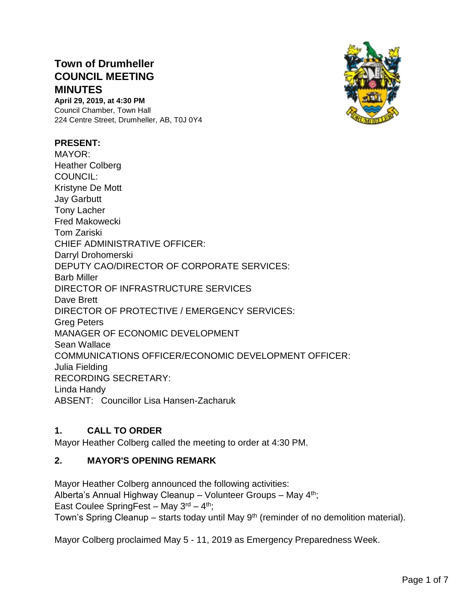# **Town of Drumheller COUNCIL MEETING MINUTES**

**April 29, 2019, at 4:30 PM** Council Chamber, Town Hall 224 Centre Street, Drumheller, AB, T0J 0Y4

#### **PRESENT:**

MAYOR: Heather Colberg COUNCIL: Kristyne De Mott Jay Garbutt Tony Lacher Fred Makowecki Tom Zariski CHIEF ADMINISTRATIVE OFFICER: Darryl Drohomerski DEPUTY CAO/DIRECTOR OF CORPORATE SERVICES: Barb Miller DIRECTOR OF INFRASTRUCTURE SERVICES Dave Brett DIRECTOR OF PROTECTIVE / EMERGENCY SERVICES: Greg Peters MANAGER OF ECONOMIC DEVELOPMENT Sean Wallace COMMUNICATIONS OFFICER/ECONOMIC DEVELOPMENT OFFICER: Julia Fielding RECORDING SECRETARY: Linda Handy ABSENT: Councillor Lisa Hansen-Zacharuk

## **1. CALL TO ORDER**

Mayor Heather Colberg called the meeting to order at 4:30 PM.

#### **2. MAYOR'S OPENING REMARK**

Mayor Heather Colberg announced the following activities: Alberta's Annual Highway Cleanup – Volunteer Groups – May 4<sup>th</sup>; East Coulee SpringFest – May  $3<sup>rd</sup> - 4<sup>th</sup>$ ; Town's Spring Cleanup – starts today until May  $9<sup>th</sup>$  (reminder of no demolition material).

Mayor Colberg proclaimed May 5 - 11, 2019 as Emergency Preparedness Week.

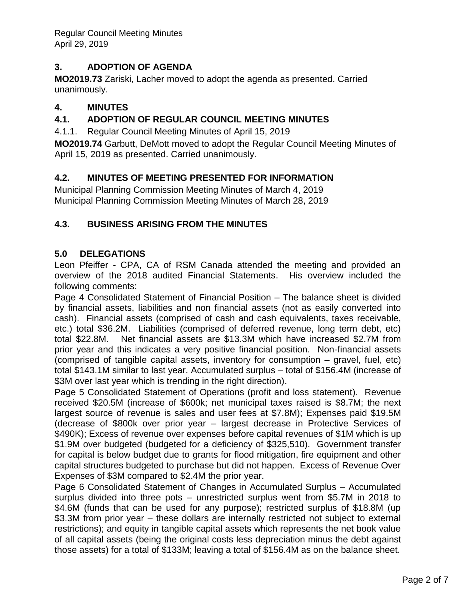Regular Council Meeting Minutes April 29, 2019

# **3. ADOPTION OF AGENDA**

**MO2019.73** Zariski, Lacher moved to adopt the agenda as presented. Carried unanimously.

## **4. MINUTES**

## **4.1. ADOPTION OF REGULAR COUNCIL MEETING MINUTES**

4.1.1. Regular Council Meeting Minutes of April 15, 2019

**MO2019.74** Garbutt, DeMott moved to adopt the Regular Council Meeting Minutes of April 15, 2019 as presented. Carried unanimously.

### **4.2. MINUTES OF MEETING PRESENTED FOR INFORMATION**

Municipal Planning Commission Meeting Minutes of March 4, 2019 Municipal Planning Commission Meeting Minutes of March 28, 2019

### **4.3. BUSINESS ARISING FROM THE MINUTES**

#### **5.0 DELEGATIONS**

Leon Pfeiffer - CPA, CA of RSM Canada attended the meeting and provided an overview of the 2018 audited Financial Statements. His overview included the following comments:

Page 4 Consolidated Statement of Financial Position – The balance sheet is divided by financial assets, liabilities and non financial assets (not as easily converted into cash). Financial assets (comprised of cash and cash equivalents, taxes receivable, etc.) total \$36.2M. Liabilities (comprised of deferred revenue, long term debt, etc) total \$22.8M. Net financial assets are \$13.3M which have increased \$2.7M from prior year and this indicates a very positive financial position. Non-financial assets (comprised of tangible capital assets, inventory for consumption – gravel, fuel, etc) total \$143.1M similar to last year. Accumulated surplus – total of \$156.4M (increase of \$3M over last year which is trending in the right direction).

Page 5 Consolidated Statement of Operations (profit and loss statement). Revenue received \$20.5M (increase of \$600k; net municipal taxes raised is \$8.7M; the next largest source of revenue is sales and user fees at \$7.8M); Expenses paid \$19.5M (decrease of \$800k over prior year – largest decrease in Protective Services of \$490K); Excess of revenue over expenses before capital revenues of \$1M which is up \$1.9M over budgeted (budgeted for a deficiency of \$325,510). Government transfer for capital is below budget due to grants for flood mitigation, fire equipment and other capital structures budgeted to purchase but did not happen. Excess of Revenue Over Expenses of \$3M compared to \$2.4M the prior year.

Page 6 Consolidated Statement of Changes in Accumulated Surplus – Accumulated surplus divided into three pots – unrestricted surplus went from \$5.7M in 2018 to \$4.6M (funds that can be used for any purpose); restricted surplus of \$18.8M (up \$3.3M from prior year – these dollars are internally restricted not subject to external restrictions); and equity in tangible capital assets which represents the net book value of all capital assets (being the original costs less depreciation minus the debt against those assets) for a total of \$133M; leaving a total of \$156.4M as on the balance sheet.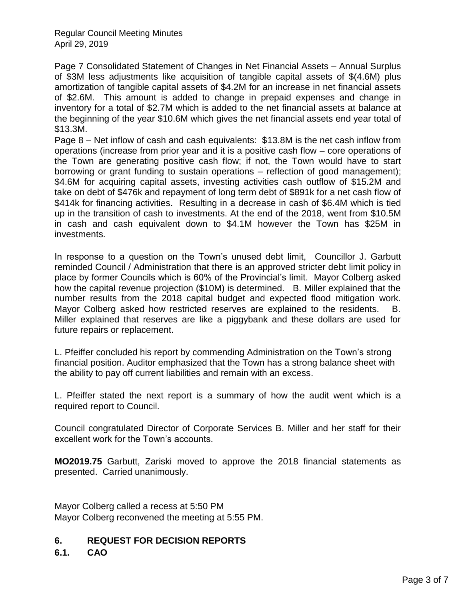Regular Council Meeting Minutes April 29, 2019

Page 7 Consolidated Statement of Changes in Net Financial Assets – Annual Surplus of \$3M less adjustments like acquisition of tangible capital assets of \$(4.6M) plus amortization of tangible capital assets of \$4.2M for an increase in net financial assets of \$2.6M. This amount is added to change in prepaid expenses and change in inventory for a total of \$2.7M which is added to the net financial assets at balance at the beginning of the year \$10.6M which gives the net financial assets end year total of \$13.3M.

Page 8 – Net inflow of cash and cash equivalents: \$13.8M is the net cash inflow from operations (increase from prior year and it is a positive cash flow – core operations of the Town are generating positive cash flow; if not, the Town would have to start borrowing or grant funding to sustain operations – reflection of good management); \$4.6M for acquiring capital assets, investing activities cash outflow of \$15.2M and take on debt of \$476k and repayment of long term debt of \$891k for a net cash flow of \$414k for financing activities. Resulting in a decrease in cash of \$6.4M which is tied up in the transition of cash to investments. At the end of the 2018, went from \$10.5M in cash and cash equivalent down to \$4.1M however the Town has \$25M in investments.

In response to a question on the Town's unused debt limit, Councillor J. Garbutt reminded Council / Administration that there is an approved stricter debt limit policy in place by former Councils which is 60% of the Provincial's limit. Mayor Colberg asked how the capital revenue projection (\$10M) is determined. B. Miller explained that the number results from the 2018 capital budget and expected flood mitigation work. Mayor Colberg asked how restricted reserves are explained to the residents. B. Miller explained that reserves are like a piggybank and these dollars are used for future repairs or replacement.

L. Pfeiffer concluded his report by commending Administration on the Town's strong financial position. Auditor emphasized that the Town has a strong balance sheet with the ability to pay off current liabilities and remain with an excess.

L. Pfeiffer stated the next report is a summary of how the audit went which is a required report to Council.

Council congratulated Director of Corporate Services B. Miller and her staff for their excellent work for the Town's accounts.

**MO2019.75** Garbutt, Zariski moved to approve the 2018 financial statements as presented. Carried unanimously.

Mayor Colberg called a recess at 5:50 PM Mayor Colberg reconvened the meeting at 5:55 PM.

#### **6. REQUEST FOR DECISION REPORTS**

**6.1. CAO**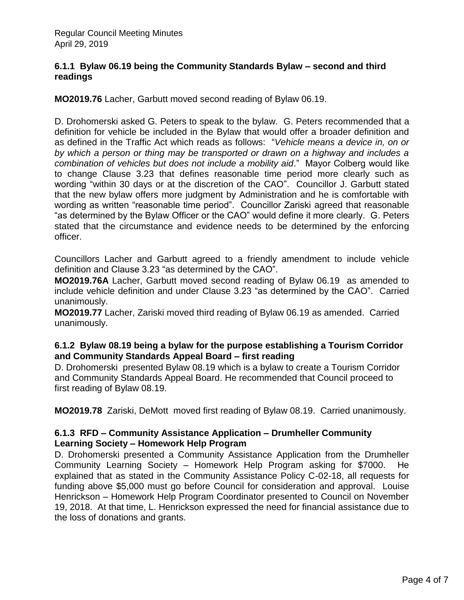#### **6.1.1 Bylaw 06.19 being the Community Standards Bylaw – second and third readings**

**MO2019.76** Lacher, Garbutt moved second reading of Bylaw 06.19.

D. Drohomerski asked G. Peters to speak to the bylaw. G. Peters recommended that a definition for vehicle be included in the Bylaw that would offer a broader definition and as defined in the Traffic Act which reads as follows: "*Vehicle means a device in, on or by which a person or thing may be transported or drawn on a highway and includes a combination of vehicles but does not include a mobility aid*." Mayor Colberg would like to change Clause 3.23 that defines reasonable time period more clearly such as wording "within 30 days or at the discretion of the CAO". Councillor J. Garbutt stated that the new bylaw offers more judgment by Administration and he is comfortable with wording as written "reasonable time period". Councillor Zariski agreed that reasonable "as determined by the Bylaw Officer or the CAO" would define it more clearly. G. Peters stated that the circumstance and evidence needs to be determined by the enforcing officer.

Councillors Lacher and Garbutt agreed to a friendly amendment to include vehicle definition and Clause 3.23 "as determined by the CAO".

**MO2019.76A** Lacher, Garbutt moved second reading of Bylaw 06.19 as amended to include vehicle definition and under Clause 3.23 "as determined by the CAO". Carried unanimously.

**MO2019.77** Lacher, Zariski moved third reading of Bylaw 06.19 as amended. Carried unanimously.

### **6.1.2 Bylaw 08.19 being a bylaw for the purpose establishing a Tourism Corridor and Community Standards Appeal Board – first reading**

D. Drohomerski presented Bylaw 08.19 which is a bylaw to create a Tourism Corridor and Community Standards Appeal Board. He recommended that Council proceed to first reading of Bylaw 08.19.

**MO2019.78** Zariski, DeMott moved first reading of Bylaw 08.19. Carried unanimously.

### **6.1.3 RFD – Community Assistance Application – Drumheller Community Learning Society – Homework Help Program**

D. Drohomerski presented a Community Assistance Application from the Drumheller Community Learning Society – Homework Help Program asking for \$7000. He explained that as stated in the Community Assistance Policy C-02-18, all requests for funding above \$5,000 must go before Council for consideration and approval. Louise Henrickson – Homework Help Program Coordinator presented to Council on November 19, 2018. At that time, L. Henrickson expressed the need for financial assistance due to the loss of donations and grants.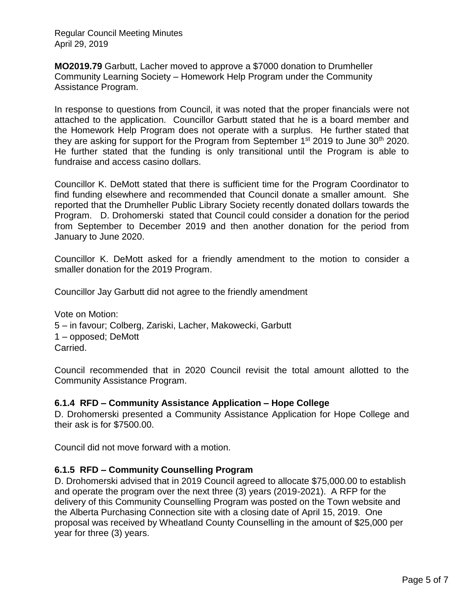Regular Council Meeting Minutes April 29, 2019

**MO2019.79** Garbutt, Lacher moved to approve a \$7000 donation to Drumheller Community Learning Society – Homework Help Program under the Community Assistance Program.

In response to questions from Council, it was noted that the proper financials were not attached to the application. Councillor Garbutt stated that he is a board member and the Homework Help Program does not operate with a surplus. He further stated that they are asking for support for the Program from September  $1<sup>st</sup>$  2019 to June 30<sup>th</sup> 2020. He further stated that the funding is only transitional until the Program is able to fundraise and access casino dollars.

Councillor K. DeMott stated that there is sufficient time for the Program Coordinator to find funding elsewhere and recommended that Council donate a smaller amount. She reported that the Drumheller Public Library Society recently donated dollars towards the Program. D. Drohomerski stated that Council could consider a donation for the period from September to December 2019 and then another donation for the period from January to June 2020.

Councillor K. DeMott asked for a friendly amendment to the motion to consider a smaller donation for the 2019 Program.

Councillor Jay Garbutt did not agree to the friendly amendment

Vote on Motion: 5 – in favour; Colberg, Zariski, Lacher, Makowecki, Garbutt 1 – opposed; DeMott Carried.

Council recommended that in 2020 Council revisit the total amount allotted to the Community Assistance Program.

#### **6.1.4 RFD – Community Assistance Application – Hope College**

D. Drohomerski presented a Community Assistance Application for Hope College and their ask is for \$7500.00.

Council did not move forward with a motion.

#### **6.1.5 RFD – Community Counselling Program**

D. Drohomerski advised that in 2019 Council agreed to allocate \$75,000.00 to establish and operate the program over the next three (3) years (2019-2021). A RFP for the delivery of this Community Counselling Program was posted on the Town website and the Alberta Purchasing Connection site with a closing date of April 15, 2019. One proposal was received by Wheatland County Counselling in the amount of \$25,000 per year for three (3) years.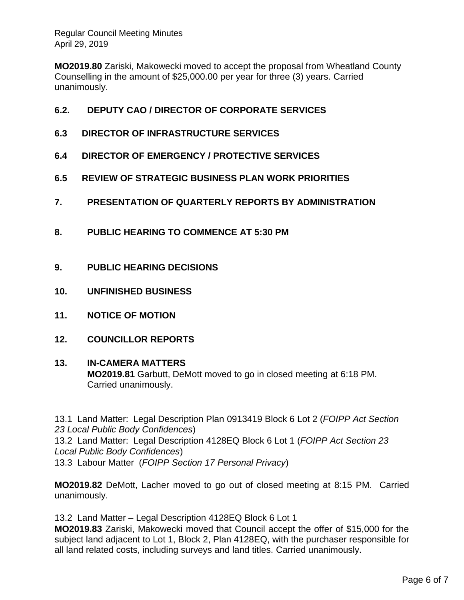**MO2019.80** Zariski, Makowecki moved to accept the proposal from Wheatland County Counselling in the amount of \$25,000.00 per year for three (3) years. Carried unanimously.

# **6.2. DEPUTY CAO / DIRECTOR OF CORPORATE SERVICES**

- **6.3 DIRECTOR OF INFRASTRUCTURE SERVICES**
- **6.4 DIRECTOR OF EMERGENCY / PROTECTIVE SERVICES**
- **6.5 REVIEW OF STRATEGIC BUSINESS PLAN WORK PRIORITIES**
- **7. PRESENTATION OF QUARTERLY REPORTS BY ADMINISTRATION**
- **8. PUBLIC HEARING TO COMMENCE AT 5:30 PM**
- **9. PUBLIC HEARING DECISIONS**
- **10. UNFINISHED BUSINESS**
- **11. NOTICE OF MOTION**
- **12. COUNCILLOR REPORTS**

#### **13. IN-CAMERA MATTERS**

**MO2019.81** Garbutt, DeMott moved to go in closed meeting at 6:18 PM. Carried unanimously.

13.1 Land Matter: Legal Description Plan 0913419 Block 6 Lot 2 (*FOIPP Act Section 23 Local Public Body Confidences*) 13.2 Land Matter: Legal Description 4128EQ Block 6 Lot 1 (*FOIPP Act Section 23 Local Public Body Confidences*) 13.3 Labour Matter (*FOIPP Section 17 Personal Privacy*)

**MO2019.82** DeMott, Lacher moved to go out of closed meeting at 8:15 PM. Carried unanimously.

13.2 Land Matter – Legal Description 4128EQ Block 6 Lot 1

**MO2019.83** Zariski, Makowecki moved that Council accept the offer of \$15,000 for the subject land adjacent to Lot 1, Block 2, Plan 4128EQ, with the purchaser responsible for all land related costs, including surveys and land titles. Carried unanimously.